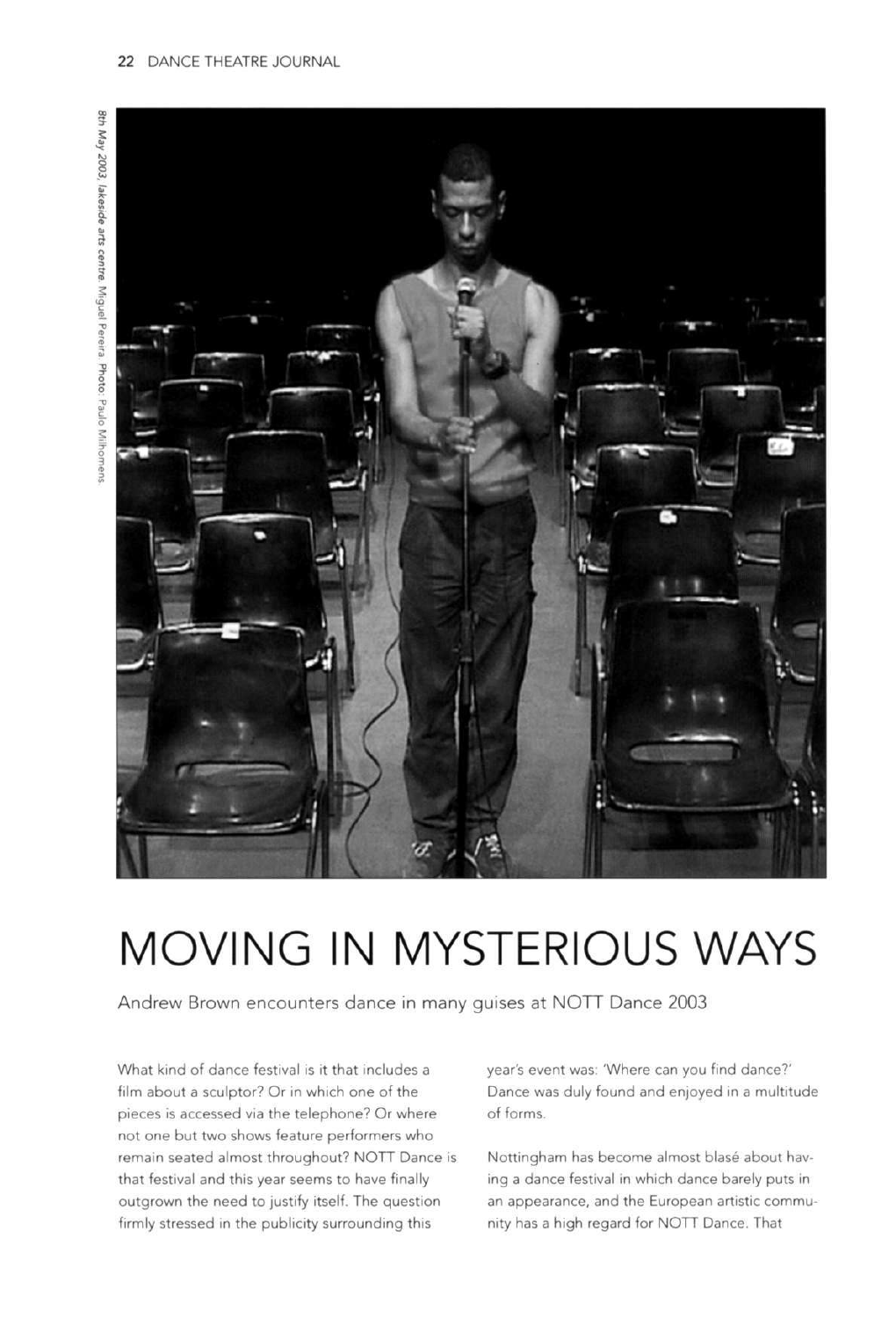



## MOVING IN MYSTERIOUS WAYS

Andrew Brown encounters dance in many guises at NOTT Dance 2003

What kind of dance festival is it that includes a film about a sculptor? Or in which one of the pieces is eccessed via the telephone? Or where not one but two shows feature performers who remain seated almost throughout? NOTT Dance is that festival and this year seems to have finally outgrown the need to justify itself. The question firmly stressed in the publicity surrounding this

year's event was: 'Where can you find dance?' Dance was duly found and enjoyed in a multitude of forms.

Nottingham has become almost blasé about having a dance festival in which dance barely puts in an appearance, and the European artistic community has a high regard for NOTT Dance. That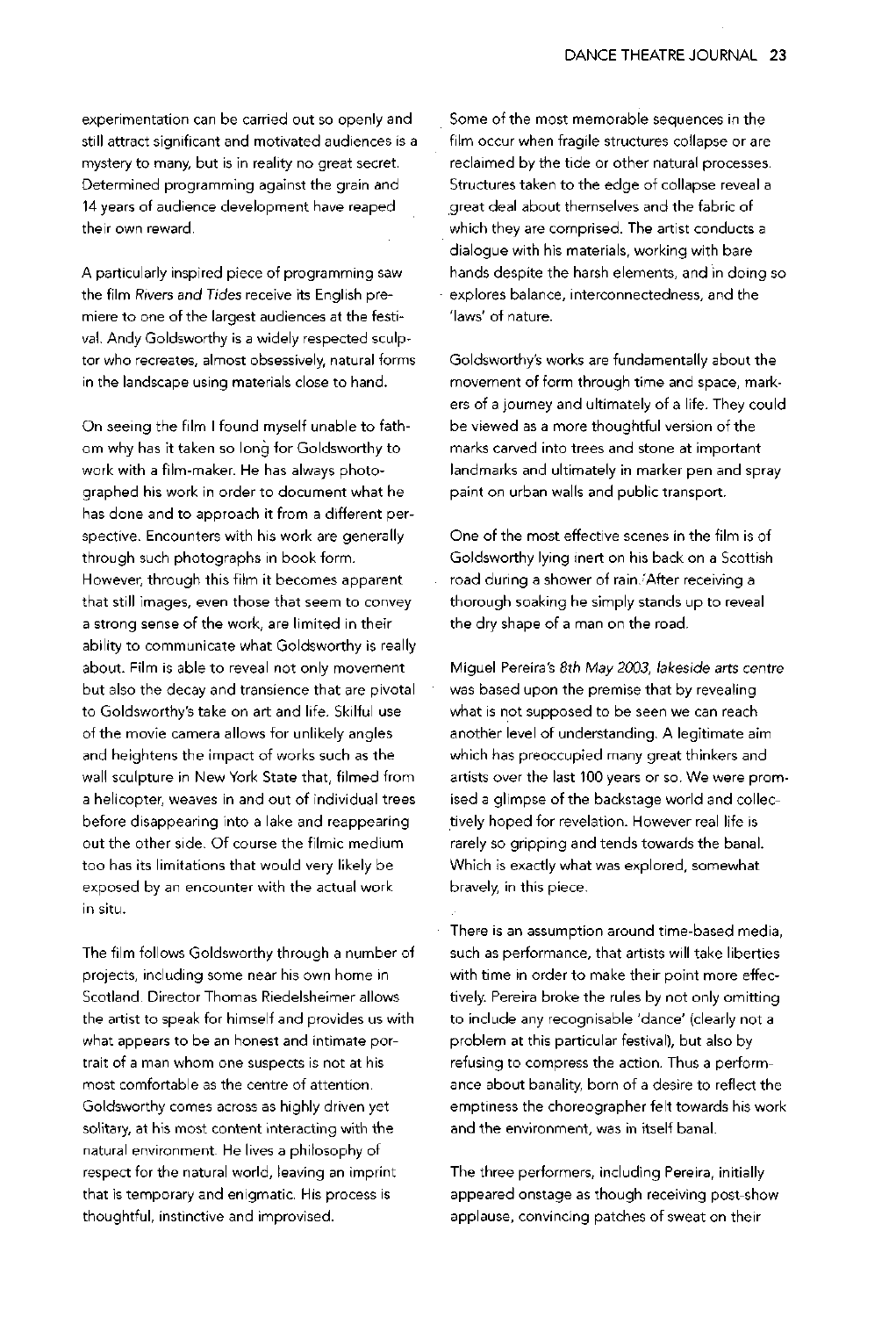experimentation can be carried out so openly and still attract significant and motivated audiences is a mystery to many, but is in reality no great secret. Determined programming against the grain and 14 years of audience development have reaped their own reward.

A particularly inspired piece of programming saw the film Rivers *and Tides* receive its English premiere to one of the largest audiences at the festival. Andy Goldsworthy is a widely respected sculptor who recreates, almost obsessively, natural forms in the landscape using materials dose to hand.

On seeing the film Ifound myself unable to fathom why has it taken so long for Goldsworthy to work with a film-maker. He has always photographed his work in order to document what he has done and to approach it from a different perspective. Encounters with his work are generally through such photographs in book form. However, through this film it becomes apparent that still images, even those that seem to convey a strong sense of the work, are limited in their ability to communicate what Goldsworthy is really about. Film is able to reveal not only movement but also the decay and transience that are pivotal to Goldsworthy's take on art and life. Skilful use of the movie camera allows for unlikely angles and heightens the impact of works such as the wall sculpture in New York State that, filmed from a helicopter, weaves in and out of individual trees before disappearing into a lake and reappearing out the other side. Of course the filmic medium too has its limitations that would very likely be exposed by an encounter with the actual work in situ.

The film follows Goldsworthy through a number of projects, including some near his own home in Scotland. Director Thomas Riedelsheimer allows the artist to speak for himself and provides us with what appears to be an honest and intimate portrait of a man whom one suspects is not at his most comfortable as the centre of attention. Goldsworthy comes across as highly driven yet solitary, at his most content interacting with the natural environment. He lives a philosophy of respect for the natural world, leaving an imprint that is temporary and enigmatic, His process is thoughtful, instinctive and improvised.

Some of the most memorable sequences in the film occur when fragile structures collapse or are reclaimed by the tide or other natural processes. Structures taken to the edge of collapse reveal a ,great deal about themselves and the fabric of which they are comprised. The artist conducts a dialogue with his materials, working with bare hands despite the harsh elements, and in doing so . explores balance, interconnectedness, and the 'laws' of nature.

Goldsworthy's works are fundamentally about the movement of form through time and space, markers of a journey and ultimately of a life. They could be viewed as a more thoughtful version of the marks carved into trees and stone at important landmarks and ultimately in marker pen and spray paint on urban walls and public transport.

One of the most effective scenes in the film is of Goldsworthy lying inert on his back on a Scottish road during a shower of rain.<sup>\*</sup>After receiving a thorough soaking he simply stands up to reveal the dry shape of a man on the road.

Miguel Pereira's *8th* May *2003, lakeside* arts centre was based upon the premise that by revealing what is not supposed to be seen we can reach another level of understanding. A legitimate aim which has preoccupied many great thinkers and artists over the last 100 years or so. We were promised a glimpse of the backstage world and collectively hoped for revelation. However real life is rarely so gripping and tends towards the banal. Which is exactly what was explored, somewhat bravely, in this piece.

There is an assumption around time-based media, such as performance, that artists will take liberties with time in order to make their point more effectively. Pereira broke the rules by not only omitting to include any recognisable 'dance' (clearly not a problem at this particular festival), but also by refusing to compress the action. Thus a performance about banality, born of a desire to reflect the emptiness the choreographer felt towards his work and the environment, was in itself banal.

The three performers, including Pereira, initially appeared onstage as though receiving post-show applause, convincing patches of sweat on their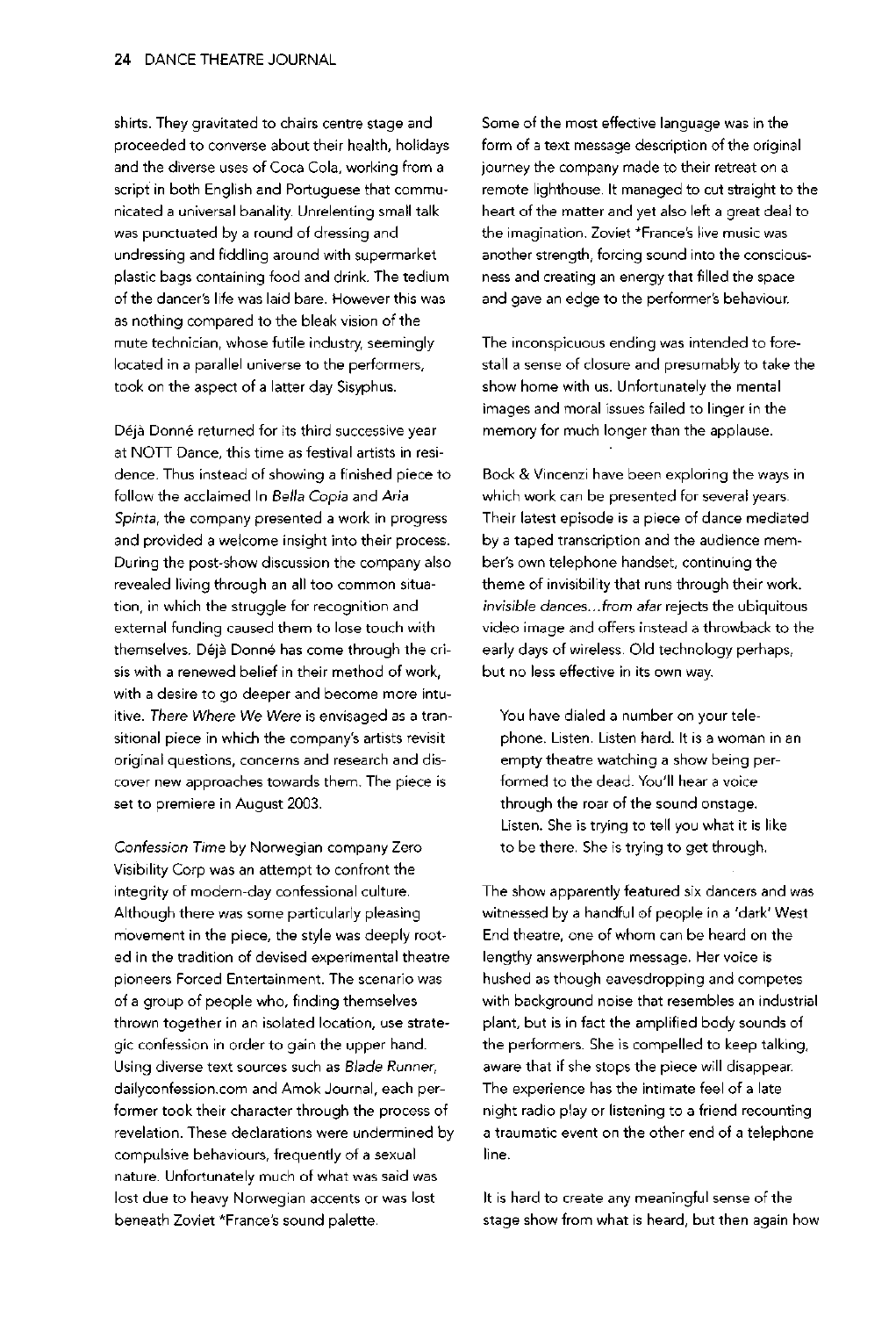shirts. They gravitated to chairs centre stage and proceeded to converse about their health, holidays and the diverse uses of Coca Cola, working from a script in both English and Portuguese that communicated a universal banality. Unrelenting small talk was punctuated by a round of dressing and undressing and fiddling around with supermarket plastic bags containing food and drink. The tedium of the dancer's life was laid bare. However this was as nothing compared to the bleak vision of the mute technician, whose futile industry, seemingly located in a parallel universe to the performers, took on the aspect of a latter day Sisyphus.

Déjà Donné returned for its third successive year at NOTT Dance, this time as festival artists in residence. Thus instead of showing a finished piece to follow the acclaimed In Bella Copia and Aria Spinta, the company presented a work in progress and provided a welcome insight into their process. During the post-show discussion the company also revealed living through an all too common situation, in which the struggle for recognition and external funding caused them to lose touch with themselves. Déjà Donné has come through the crisis with a renewed belief in their method of work, with a desire to go deeper and become more intuitive. There Where We Were is envisaged as a transitional piece in which the company's artists revisit original questions, concerns and research and discover new approaches towards them. The piece is set to premiere in August 2003.

Confession Time by Norwegian company Zero Visibility Corp was an attempt to confront the integrity of modern-day confessional culture. Although there was some particularly pleasing movement in the piece, the style was deeply rooted in the tradition of devised experimental theatre pioneers Forced Entertainment. The scenario was of a group of people who, finding themselves thrown together in an isolated location, use strategic confession in order to gain the upper hand. Using diverse text sources such as Blade Runner, dailyconfession.com and Amok Journal, each performer took their character through the process of revelation. These declarations were undermined by compulsive behaviours, frequently of a sexual nature. Unfortunately much of what was said was lost due to heavy Norwegian accents or was lost beneath Zoviet "France's sound palette.

Some of the most effective language was in the form of a text message description of the original journey the company made to their retreat on a remote lighthouse. It managed to cut straight to the heart of the matter and yet also left a great deal to the imagination. Zoviet "France's live music was another strength, forcing sound into the consciousness and creating an energy that filled the space and gave an edge to the performer's behaviour.

The inconspicuous ending was intended to forestall a sense of closure and presumably to take the show home with us. Unfortunately the mental images and moral issues failed to linger in the memory for much longer than the applause.

Beck & Vincenzi have been exploring the ways in which work can be presented for several years. Their latest episode is a piece of dance mediated by a taped transcription and the audience member's own telephone handset, continuing the theme of invisibility that runs through their work. invisible dances.,.from afar rejects the ubiquitous video image and offers instead a throwback to the early days of wireless. Old technology perhaps, but no less effective in its own way.

You have dialed a number on your telephone. Listen. Listen hard. It is a woman in an empty theatre watching a show being performed to the dead. You'll hear a voice through the roar of the sound onstage. Listen. She is trying to tell you what it is like to be there. She is trying to get through.

The show apparently featured six dancers and was witnessed by a handful of people in a 'dark' West End theatre, one of whom can be heard on the lengthy answerphone message. Her voice is hushed as though eavesdropping and competes with background noise that resembles an industrial plant, but is in fact the amplified body sounds of the performers. She is compelled to keep talking, aware that if she stops the piece will disappear. The experience has the intimate feel of a late night radio play or listening to a friend recounting a traumatic event on the other end of a telephone line.

It is hard to create any meaningful sense of the stage show from what is heard, but then again how